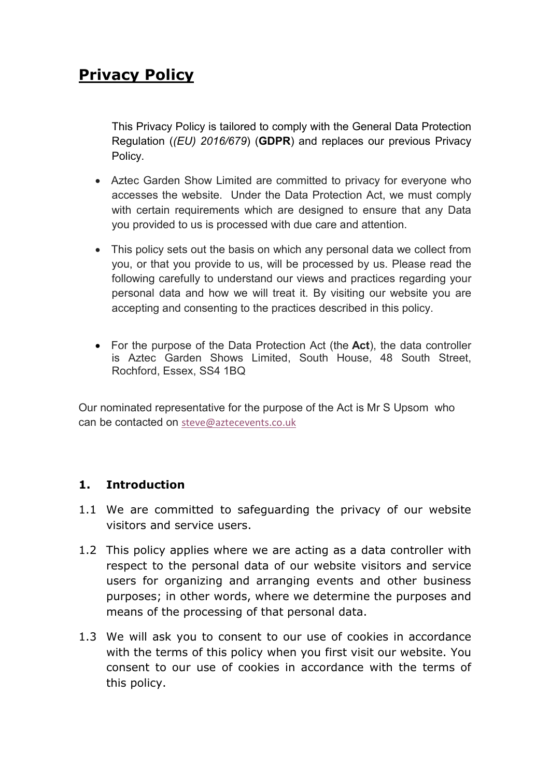# Privacy Policy

This Privacy Policy is tailored to comply with the General Data Protection Regulation ((EU) 2016/679) (GDPR) and replaces our previous Privacy Policy.

- Aztec Garden Show Limited are committed to privacy for everyone who accesses the website. Under the Data Protection Act, we must comply with certain requirements which are designed to ensure that any Data you provided to us is processed with due care and attention.
- This policy sets out the basis on which any personal data we collect from you, or that you provide to us, will be processed by us. Please read the following carefully to understand our views and practices regarding your personal data and how we will treat it. By visiting our website you are accepting and consenting to the practices described in this policy.
- For the purpose of the Data Protection Act (the Act), the data controller is Aztec Garden Shows Limited, South House, 48 South Street, Rochford, Essex, SS4 1BQ

Our nominated representative for the purpose of the Act is Mr S Upsom who can be contacted on steve@aztecevents.co.uk

## 1. Introduction

- 1.1 We are committed to safeguarding the privacy of our website visitors and service users.
- 1.2 This policy applies where we are acting as a data controller with respect to the personal data of our website visitors and service users for organizing and arranging events and other business purposes; in other words, where we determine the purposes and means of the processing of that personal data.
- 1.3 We will ask you to consent to our use of cookies in accordance with the terms of this policy when you first visit our website. You consent to our use of cookies in accordance with the terms of this policy.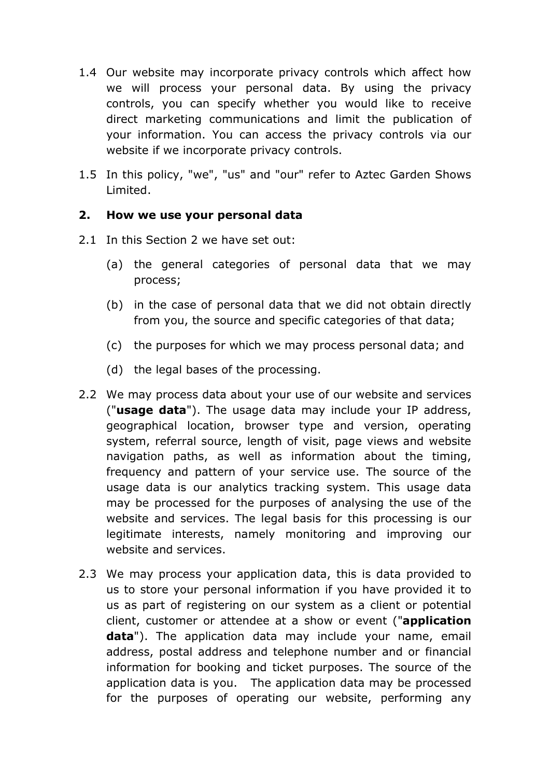- 1.4 Our website may incorporate privacy controls which affect how we will process your personal data. By using the privacy controls, you can specify whether you would like to receive direct marketing communications and limit the publication of your information. You can access the privacy controls via our website if we incorporate privacy controls.
- 1.5 In this policy, "we", "us" and "our" refer to Aztec Garden Shows Limited.

#### 2. How we use your personal data

- 2.1 In this Section 2 we have set out:
	- (a) the general categories of personal data that we may process;
	- (b) in the case of personal data that we did not obtain directly from you, the source and specific categories of that data;
	- (c) the purposes for which we may process personal data; and
	- (d) the legal bases of the processing.
- 2.2 We may process data about your use of our website and services ("usage data"). The usage data may include your IP address, geographical location, browser type and version, operating system, referral source, length of visit, page views and website navigation paths, as well as information about the timing, frequency and pattern of your service use. The source of the usage data is our analytics tracking system. This usage data may be processed for the purposes of analysing the use of the website and services. The legal basis for this processing is our legitimate interests, namely monitoring and improving our website and services.
- 2.3 We may process your application data, this is data provided to us to store your personal information if you have provided it to us as part of registering on our system as a client or potential client, customer or attendee at a show or event ("application data"). The application data may include your name, email address, postal address and telephone number and or financial information for booking and ticket purposes. The source of the application data is you. The application data may be processed for the purposes of operating our website, performing any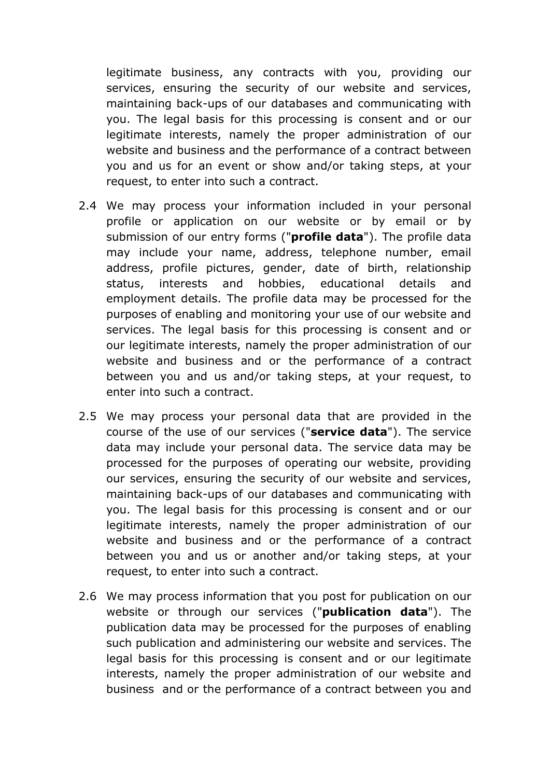legitimate business, any contracts with you, providing our services, ensuring the security of our website and services, maintaining back-ups of our databases and communicating with you. The legal basis for this processing is consent and or our legitimate interests, namely the proper administration of our website and business and the performance of a contract between you and us for an event or show and/or taking steps, at your request, to enter into such a contract.

- 2.4 We may process your information included in your personal profile or application on our website or by email or by submission of our entry forms ("**profile data**"). The profile data may include your name, address, telephone number, email address, profile pictures, gender, date of birth, relationship status, interests and hobbies, educational details and employment details. The profile data may be processed for the purposes of enabling and monitoring your use of our website and services. The legal basis for this processing is consent and or our legitimate interests, namely the proper administration of our website and business and or the performance of a contract between you and us and/or taking steps, at your request, to enter into such a contract.
- 2.5 We may process your personal data that are provided in the course of the use of our services ("service data"). The service data may include your personal data. The service data may be processed for the purposes of operating our website, providing our services, ensuring the security of our website and services, maintaining back-ups of our databases and communicating with you. The legal basis for this processing is consent and or our legitimate interests, namely the proper administration of our website and business and or the performance of a contract between you and us or another and/or taking steps, at your request, to enter into such a contract.
- 2.6 We may process information that you post for publication on our website or through our services ("publication data"). The publication data may be processed for the purposes of enabling such publication and administering our website and services. The legal basis for this processing is consent and or our legitimate interests, namely the proper administration of our website and business and or the performance of a contract between you and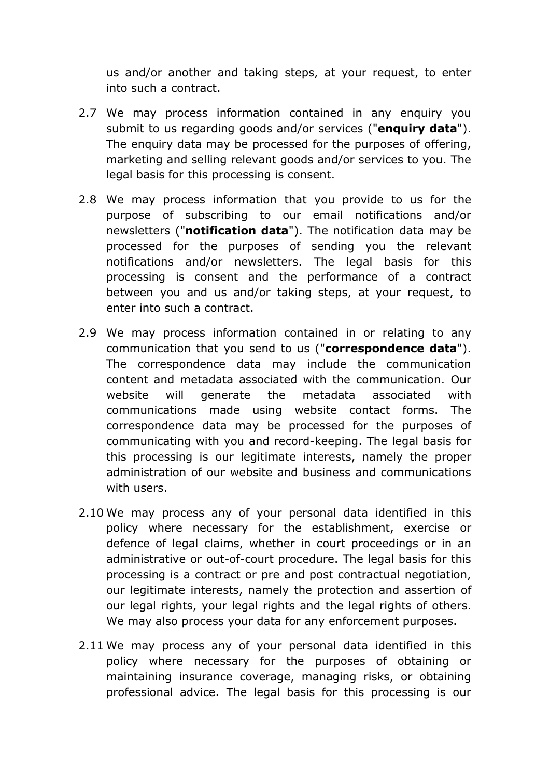us and/or another and taking steps, at your request, to enter into such a contract.

- 2.7 We may process information contained in any enquiry you submit to us regarding goods and/or services ("enquiry data"). The enquiry data may be processed for the purposes of offering, marketing and selling relevant goods and/or services to you. The legal basis for this processing is consent.
- 2.8 We may process information that you provide to us for the purpose of subscribing to our email notifications and/or newsletters ("notification data"). The notification data may be processed for the purposes of sending you the relevant notifications and/or newsletters. The legal basis for this processing is consent and the performance of a contract between you and us and/or taking steps, at your request, to enter into such a contract.
- 2.9 We may process information contained in or relating to any communication that you send to us ("correspondence data"). The correspondence data may include the communication content and metadata associated with the communication. Our website will generate the metadata associated with communications made using website contact forms. The correspondence data may be processed for the purposes of communicating with you and record-keeping. The legal basis for this processing is our legitimate interests, namely the proper administration of our website and business and communications with users.
- 2.10 We may process any of your personal data identified in this policy where necessary for the establishment, exercise or defence of legal claims, whether in court proceedings or in an administrative or out-of-court procedure. The legal basis for this processing is a contract or pre and post contractual negotiation, our legitimate interests, namely the protection and assertion of our legal rights, your legal rights and the legal rights of others. We may also process your data for any enforcement purposes.
- 2.11 We may process any of your personal data identified in this policy where necessary for the purposes of obtaining or maintaining insurance coverage, managing risks, or obtaining professional advice. The legal basis for this processing is our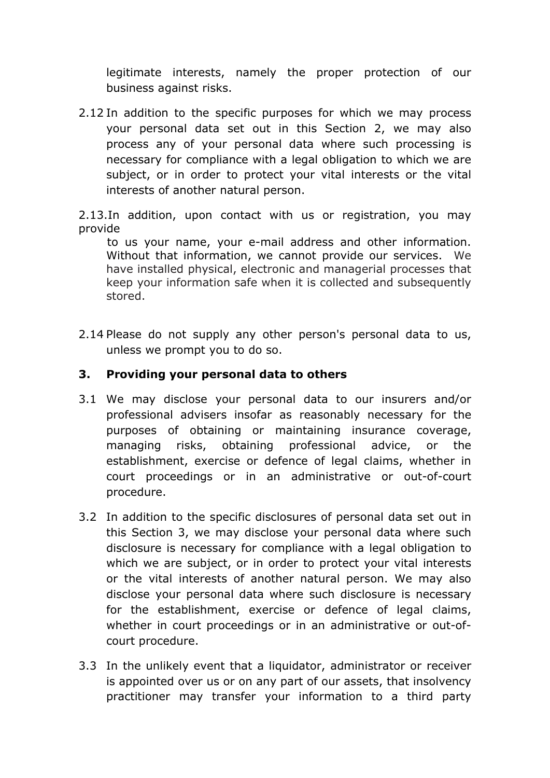legitimate interests, namely the proper protection of our business against risks.

2.12 In addition to the specific purposes for which we may process your personal data set out in this Section 2, we may also process any of your personal data where such processing is necessary for compliance with a legal obligation to which we are subject, or in order to protect your vital interests or the vital interests of another natural person.

2.13.In addition, upon contact with us or registration, you may provide

to us your name, your e-mail address and other information. Without that information, we cannot provide our services. We have installed physical, electronic and managerial processes that keep your information safe when it is collected and subsequently stored.

2.14 Please do not supply any other person's personal data to us, unless we prompt you to do so.

## 3. Providing your personal data to others

- 3.1 We may disclose your personal data to our insurers and/or professional advisers insofar as reasonably necessary for the purposes of obtaining or maintaining insurance coverage, managing risks, obtaining professional advice, or the establishment, exercise or defence of legal claims, whether in court proceedings or in an administrative or out-of-court procedure.
- 3.2 In addition to the specific disclosures of personal data set out in this Section 3, we may disclose your personal data where such disclosure is necessary for compliance with a legal obligation to which we are subject, or in order to protect your vital interests or the vital interests of another natural person. We may also disclose your personal data where such disclosure is necessary for the establishment, exercise or defence of legal claims, whether in court proceedings or in an administrative or out-ofcourt procedure.
- 3.3 In the unlikely event that a liquidator, administrator or receiver is appointed over us or on any part of our assets, that insolvency practitioner may transfer your information to a third party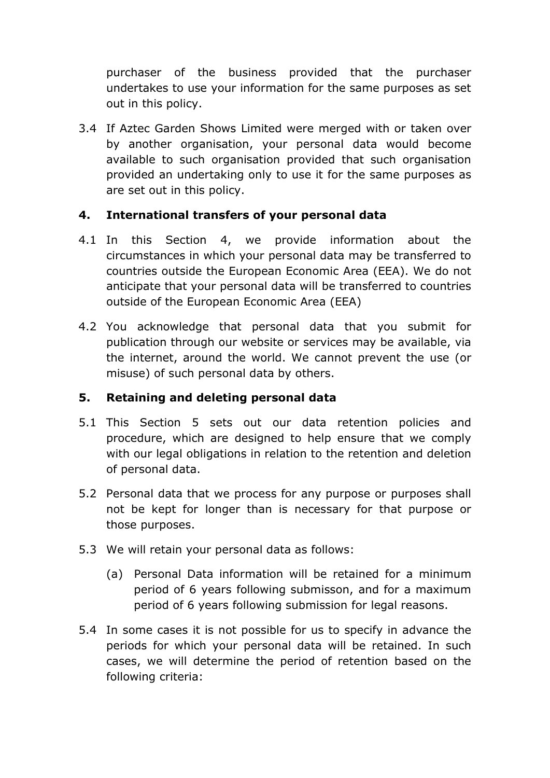purchaser of the business provided that the purchaser undertakes to use your information for the same purposes as set out in this policy.

3.4 If Aztec Garden Shows Limited were merged with or taken over by another organisation, your personal data would become available to such organisation provided that such organisation provided an undertaking only to use it for the same purposes as are set out in this policy.

## 4. International transfers of your personal data

- 4.1 In this Section 4, we provide information about the circumstances in which your personal data may be transferred to countries outside the European Economic Area (EEA). We do not anticipate that your personal data will be transferred to countries outside of the European Economic Area (EEA)
- 4.2 You acknowledge that personal data that you submit for publication through our website or services may be available, via the internet, around the world. We cannot prevent the use (or misuse) of such personal data by others.

# 5. Retaining and deleting personal data

- 5.1 This Section 5 sets out our data retention policies and procedure, which are designed to help ensure that we comply with our legal obligations in relation to the retention and deletion of personal data.
- 5.2 Personal data that we process for any purpose or purposes shall not be kept for longer than is necessary for that purpose or those purposes.
- 5.3 We will retain your personal data as follows:
	- (a) Personal Data information will be retained for a minimum period of 6 years following submisson, and for a maximum period of 6 years following submission for legal reasons.
- 5.4 In some cases it is not possible for us to specify in advance the periods for which your personal data will be retained. In such cases, we will determine the period of retention based on the following criteria: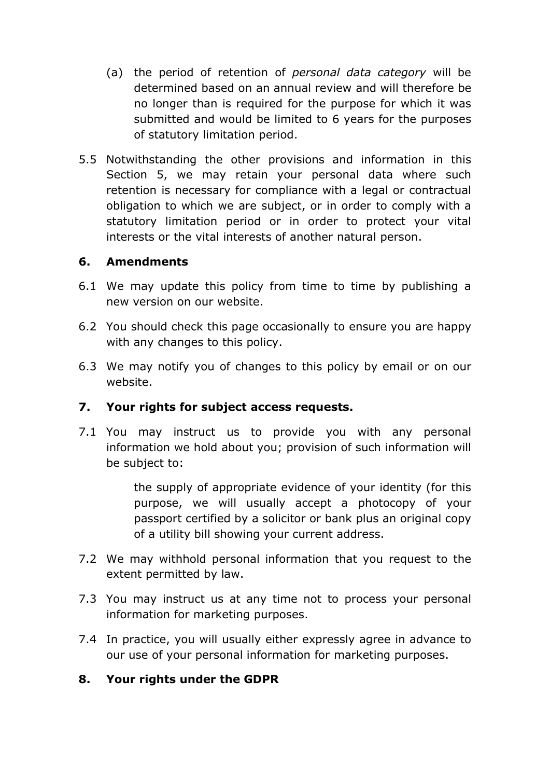- (a) the period of retention of personal data category will be determined based on an annual review and will therefore be no longer than is required for the purpose for which it was submitted and would be limited to 6 years for the purposes of statutory limitation period.
- 5.5 Notwithstanding the other provisions and information in this Section 5, we may retain your personal data where such retention is necessary for compliance with a legal or contractual obligation to which we are subject, or in order to comply with a statutory limitation period or in order to protect your vital interests or the vital interests of another natural person.

#### 6. Amendments

- 6.1 We may update this policy from time to time by publishing a new version on our website.
- 6.2 You should check this page occasionally to ensure you are happy with any changes to this policy.
- 6.3 We may notify you of changes to this policy by email or on our website.

## 7. Your rights for subject access requests.

7.1 You may instruct us to provide you with any personal information we hold about you; provision of such information will be subject to:

> the supply of appropriate evidence of your identity (for this purpose, we will usually accept a photocopy of your passport certified by a solicitor or bank plus an original copy of a utility bill showing your current address.

- 7.2 We may withhold personal information that you request to the extent permitted by law.
- 7.3 You may instruct us at any time not to process your personal information for marketing purposes.
- 7.4 In practice, you will usually either expressly agree in advance to our use of your personal information for marketing purposes.

#### 8. Your rights under the GDPR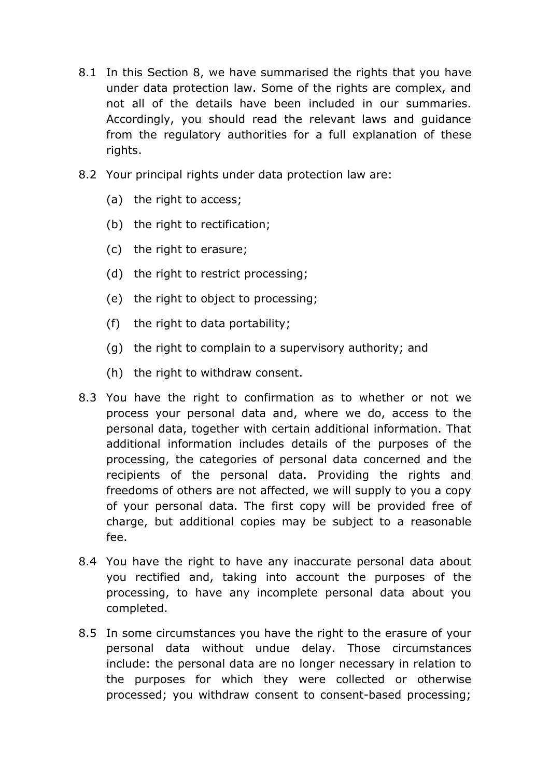- 8.1 In this Section 8, we have summarised the rights that you have under data protection law. Some of the rights are complex, and not all of the details have been included in our summaries. Accordingly, you should read the relevant laws and guidance from the regulatory authorities for a full explanation of these rights.
- 8.2 Your principal rights under data protection law are:
	- (a) the right to access;
	- (b) the right to rectification;
	- (c) the right to erasure;
	- (d) the right to restrict processing;
	- (e) the right to object to processing;
	- (f) the right to data portability;
	- (g) the right to complain to a supervisory authority; and
	- (h) the right to withdraw consent.
- 8.3 You have the right to confirmation as to whether or not we process your personal data and, where we do, access to the personal data, together with certain additional information. That additional information includes details of the purposes of the processing, the categories of personal data concerned and the recipients of the personal data. Providing the rights and freedoms of others are not affected, we will supply to you a copy of your personal data. The first copy will be provided free of charge, but additional copies may be subject to a reasonable fee.
- 8.4 You have the right to have any inaccurate personal data about you rectified and, taking into account the purposes of the processing, to have any incomplete personal data about you completed.
- 8.5 In some circumstances you have the right to the erasure of your personal data without undue delay. Those circumstances include: the personal data are no longer necessary in relation to the purposes for which they were collected or otherwise processed; you withdraw consent to consent-based processing;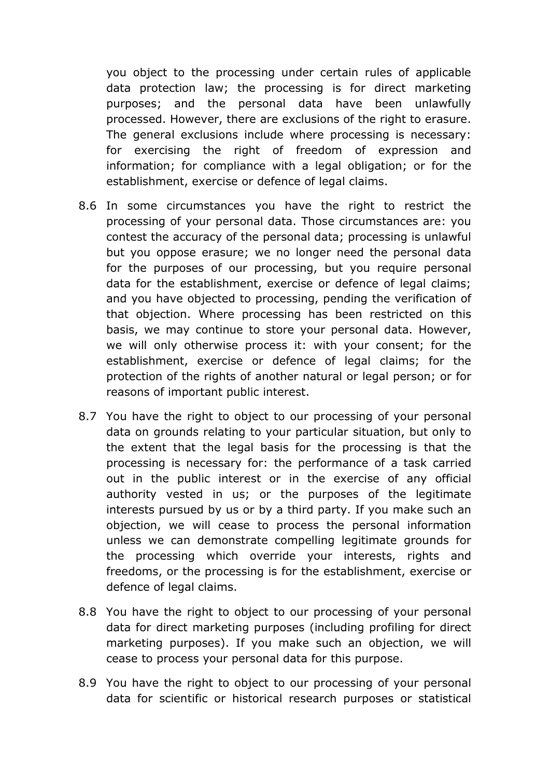you object to the processing under certain rules of applicable data protection law; the processing is for direct marketing purposes; and the personal data have been unlawfully processed. However, there are exclusions of the right to erasure. The general exclusions include where processing is necessary: for exercising the right of freedom of expression and information; for compliance with a legal obligation; or for the establishment, exercise or defence of legal claims.

- 8.6 In some circumstances you have the right to restrict the processing of your personal data. Those circumstances are: you contest the accuracy of the personal data; processing is unlawful but you oppose erasure; we no longer need the personal data for the purposes of our processing, but you require personal data for the establishment, exercise or defence of legal claims; and you have objected to processing, pending the verification of that objection. Where processing has been restricted on this basis, we may continue to store your personal data. However, we will only otherwise process it: with your consent; for the establishment, exercise or defence of legal claims; for the protection of the rights of another natural or legal person; or for reasons of important public interest.
- 8.7 You have the right to object to our processing of your personal data on grounds relating to your particular situation, but only to the extent that the legal basis for the processing is that the processing is necessary for: the performance of a task carried out in the public interest or in the exercise of any official authority vested in us; or the purposes of the legitimate interests pursued by us or by a third party. If you make such an objection, we will cease to process the personal information unless we can demonstrate compelling legitimate grounds for the processing which override your interests, rights and freedoms, or the processing is for the establishment, exercise or defence of legal claims.
- 8.8 You have the right to object to our processing of your personal data for direct marketing purposes (including profiling for direct marketing purposes). If you make such an objection, we will cease to process your personal data for this purpose.
- 8.9 You have the right to object to our processing of your personal data for scientific or historical research purposes or statistical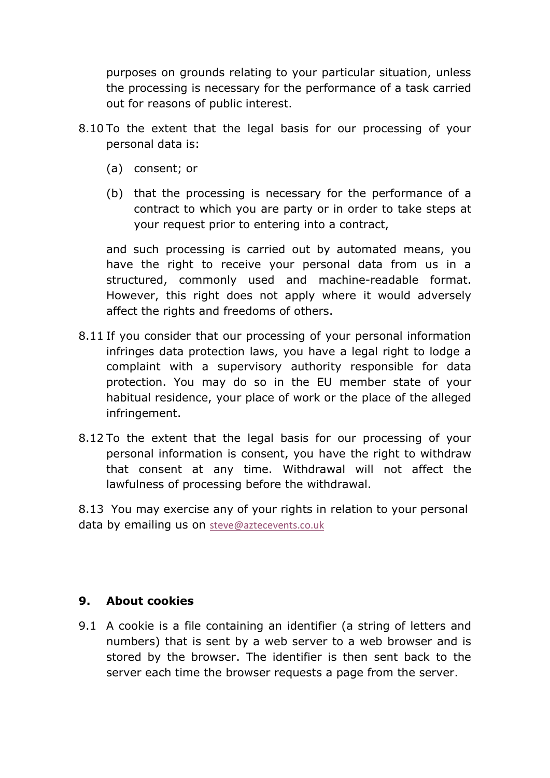purposes on grounds relating to your particular situation, unless the processing is necessary for the performance of a task carried out for reasons of public interest.

- 8.10 To the extent that the legal basis for our processing of your personal data is:
	- (a) consent; or
	- (b) that the processing is necessary for the performance of a contract to which you are party or in order to take steps at your request prior to entering into a contract,

 and such processing is carried out by automated means, you have the right to receive your personal data from us in a structured, commonly used and machine-readable format. However, this right does not apply where it would adversely affect the rights and freedoms of others.

- 8.11 If you consider that our processing of your personal information infringes data protection laws, you have a legal right to lodge a complaint with a supervisory authority responsible for data protection. You may do so in the EU member state of your habitual residence, your place of work or the place of the alleged infringement.
- 8.12 To the extent that the legal basis for our processing of your personal information is consent, you have the right to withdraw that consent at any time. Withdrawal will not affect the lawfulness of processing before the withdrawal.

8.13 You may exercise any of your rights in relation to your personal data by emailing us on steve@aztecevents.co.uk

#### 9. About cookies

9.1 A cookie is a file containing an identifier (a string of letters and numbers) that is sent by a web server to a web browser and is stored by the browser. The identifier is then sent back to the server each time the browser requests a page from the server.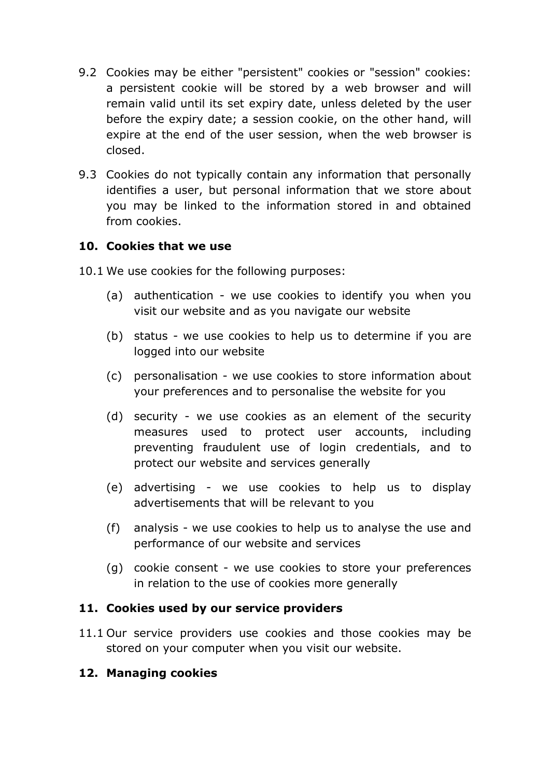- 9.2 Cookies may be either "persistent" cookies or "session" cookies: a persistent cookie will be stored by a web browser and will remain valid until its set expiry date, unless deleted by the user before the expiry date; a session cookie, on the other hand, will expire at the end of the user session, when the web browser is closed.
- 9.3 Cookies do not typically contain any information that personally identifies a user, but personal information that we store about you may be linked to the information stored in and obtained from cookies.

#### 10. Cookies that we use

- 10.1 We use cookies for the following purposes:
	- (a) authentication we use cookies to identify you when you visit our website and as you navigate our website
	- (b) status we use cookies to help us to determine if you are logged into our website
	- (c) personalisation we use cookies to store information about your preferences and to personalise the website for you
	- (d) security we use cookies as an element of the security measures used to protect user accounts, including preventing fraudulent use of login credentials, and to protect our website and services generally
	- (e) advertising we use cookies to help us to display advertisements that will be relevant to you
	- (f) analysis we use cookies to help us to analyse the use and performance of our website and services
	- (g) cookie consent we use cookies to store your preferences in relation to the use of cookies more generally

#### 11. Cookies used by our service providers

11.1 Our service providers use cookies and those cookies may be stored on your computer when you visit our website.

## 12. Managing cookies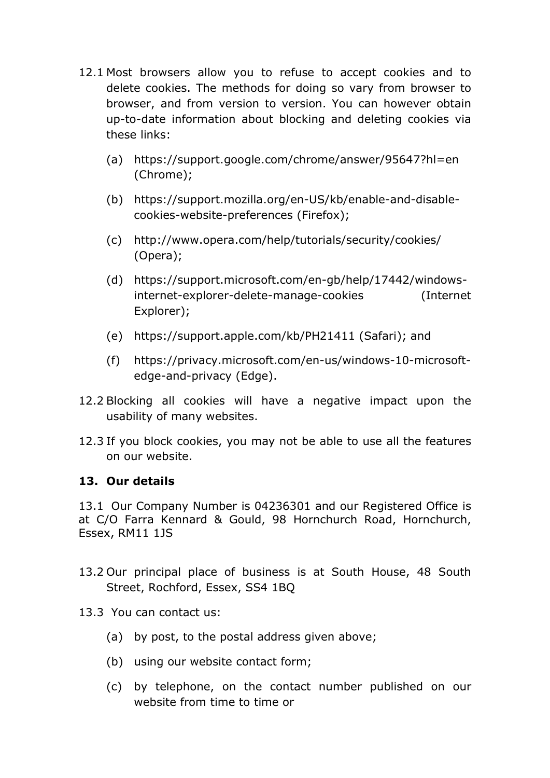- 12.1 Most browsers allow you to refuse to accept cookies and to delete cookies. The methods for doing so vary from browser to browser, and from version to version. You can however obtain up-to-date information about blocking and deleting cookies via these links:
	- (a) https://support.google.com/chrome/answer/95647?hl=en (Chrome);
	- (b) https://support.mozilla.org/en-US/kb/enable-and-disablecookies-website-preferences (Firefox);
	- (c) http://www.opera.com/help/tutorials/security/cookies/ (Opera);
	- (d) https://support.microsoft.com/en-gb/help/17442/windowsinternet-explorer-delete-manage-cookies (Internet Explorer);
	- (e) https://support.apple.com/kb/PH21411 (Safari); and
	- (f) https://privacy.microsoft.com/en-us/windows-10-microsoftedge-and-privacy (Edge).
- 12.2 Blocking all cookies will have a negative impact upon the usability of many websites.
- 12.3 If you block cookies, you may not be able to use all the features on our website.

## 13. Our details

13.1 Our Company Number is 04236301 and our Registered Office is at C/O Farra Kennard & Gould, 98 Hornchurch Road, Hornchurch, Essex, RM11 1JS

- 13.2 Our principal place of business is at South House, 48 South Street, Rochford, Essex, SS4 1BQ
- 13.3 You can contact us:
	- (a) by post, to the postal address given above;
	- (b) using our website contact form;
	- (c) by telephone, on the contact number published on our website from time to time or